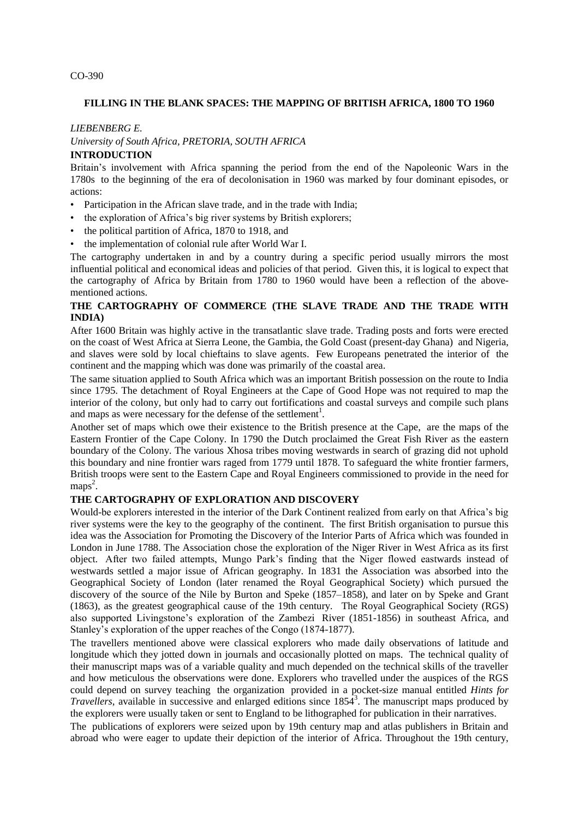#### CO-390

#### **FILLING IN THE BLANK SPACES: THE MAPPING OF BRITISH AFRICA, 1800 TO 1960**

#### *LIEBENBERG E.*

*University of South Africa, PRETORIA, SOUTH AFRICA* **INTRODUCTION**

Britain"s involvement with Africa spanning the period from the end of the Napoleonic Wars in the 1780s to the beginning of the era of decolonisation in 1960 was marked by four dominant episodes, or actions:

- Participation in the African slave trade, and in the trade with India;
- the exploration of Africa's big river systems by British explorers;
- the political partition of Africa, 1870 to 1918, and
- the implementation of colonial rule after World War I.

The cartography undertaken in and by a country during a specific period usually mirrors the most influential political and economical ideas and policies of that period. Given this, it is logical to expect that the cartography of Africa by Britain from 1780 to 1960 would have been a reflection of the abovementioned actions.

## **THE CARTOGRAPHY OF COMMERCE (THE SLAVE TRADE AND THE TRADE WITH INDIA)**

After 1600 Britain was highly active in the transatlantic slave trade. Trading posts and forts were erected on the coast of West Africa at Sierra Leone, the Gambia, the Gold Coast (present-day Ghana) and Nigeria, and slaves were sold by local chieftains to slave agents. Few Europeans penetrated the interior of the continent and the mapping which was done was primarily of the coastal area.

The same situation applied to South Africa which was an important British possession on the route to India since 1795. The detachment of Royal Engineers at the Cape of Good Hope was not required to map the interior of the colony, but only had to carry out fortifications and coastal surveys and compile such plans and maps as were necessary for the defense of the settlement<sup>1</sup>.

Another set of maps which owe their existence to the British presence at the Cape, are the maps of the Eastern Frontier of the Cape Colony. In 1790 the Dutch proclaimed the Great Fish River as the eastern boundary of the Colony. The various Xhosa tribes moving westwards in search of grazing did not uphold this boundary and nine frontier wars raged from 1779 until 1878. To safeguard the white frontier farmers, British troops were sent to the Eastern Cape and Royal Engineers commissioned to provide in the need for maps<sup>2</sup>.

## **THE CARTOGRAPHY OF EXPLORATION AND DISCOVERY**

Would-be explorers interested in the interior of the Dark Continent realized from early on that Africa's big river systems were the key to the geography of the continent. The first British organisation to pursue this idea was the Association for Promoting the Discovery of the Interior Parts of Africa which was founded in London in June 1788. The Association chose the exploration of the Niger River in West Africa as its first object. After two failed attempts, Mungo Park"s finding that the Niger flowed eastwards instead of westwards settled a major issue of African geography. In 1831 the Association was absorbed into the Geographical Society of London (later renamed the Royal Geographical Society) which pursued the discovery of the source of the Nile by Burton and Speke (1857–1858), and later on by Speke and Grant (1863), as the greatest geographical cause of the 19th century. The Royal Geographical Society (RGS) also supported Livingstone"s exploration of the Zambezi River (1851-1856) in southeast Africa, and Stanley's exploration of the upper reaches of the Congo (1874-1877).

The travellers mentioned above were classical explorers who made daily observations of latitude and longitude which they jotted down in journals and occasionally plotted on maps. The technical quality of their manuscript maps was of a variable quality and much depended on the technical skills of the traveller and how meticulous the observations were done. Explorers who travelled under the auspices of the RGS could depend on survey teaching the organization provided in a pocket-size manual entitled *Hints for Travellers*, available in successive and enlarged editions since 1854<sup>3</sup> . The manuscript maps produced by the explorers were usually taken or sent to England to be lithographed for publication in their narratives.

The publications of explorers were seized upon by 19th century map and atlas publishers in Britain and abroad who were eager to update their depiction of the interior of Africa. Throughout the 19th century,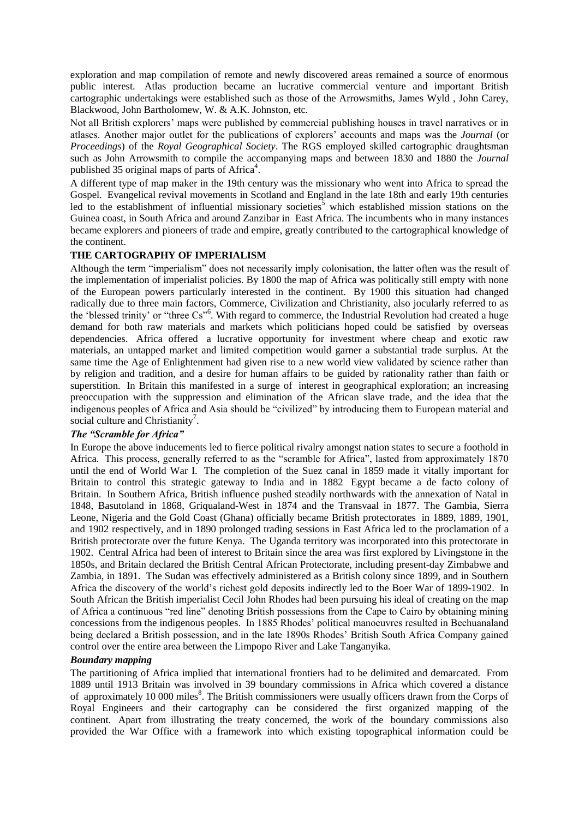exploration and map compilation of remote and newly discovered areas remained a source of enormous public interest. Atlas production became an lucrative commercial venture and important British cartographic undertakings were established such as those of the Arrowsmiths, James Wyld , John Carey, Blackwood, John Bartholomew, W. & A.K. Johnston, etc.

Not all British explorers" maps were published by commercial publishing houses in travel narratives or in atlases. Another major outlet for the publications of explorers" accounts and maps was the *Journal* (or *Proceedings*) of the *Royal Geographical Society*. The RGS employed skilled cartographic draughtsman such as John Arrowsmith to compile the accompanying maps and between 1830 and 1880 the *Journal* published 35 original maps of parts of Africa<sup>4</sup>.

A different type of map maker in the 19th century was the missionary who went into Africa to spread the Gospel. Evangelical revival movements in Scotland and England in the late 18th and early 19th centuries led to the establishment of influential missionary societies<sup>5</sup> which established mission stations on the Guinea coast, in South Africa and around Zanzibar in East Africa. The incumbents who in many instances became explorers and pioneers of trade and empire, greatly contributed to the cartographical knowledge of the continent.

## **THE CARTOGRAPHY OF IMPERIALISM**

Although the term "imperialism" does not necessarily imply colonisation, the latter often was the result of the implementation of imperialist policies. By 1800 the map of Africa was politically still empty with none of the European powers particularly interested in the continent. By 1900 this situation had changed radically due to three main factors, Commerce, Civilization and Christianity, also jocularly referred to as the 'blessed trinity' or "three Cs"<sup>6</sup>. With regard to commerce, the Industrial Revolution had created a huge demand for both raw materials and markets which politicians hoped could be satisfied by overseas dependencies. Africa offered a lucrative opportunity for investment where cheap and exotic raw materials, an untapped market and limited competition would garner a substantial trade surplus. At the same time the Age of Enlightenment had given rise to a new world view validated by science rather than by religion and tradition, and a desire for human affairs to be guided by rationality rather than faith or superstition. In Britain this manifested in a surge of interest in geographical exploration; an increasing preoccupation with the suppression and elimination of the African slave trade, and the idea that the indigenous peoples of Africa and Asia should be "civilized" by introducing them to European material and social culture and Christianity<sup>7</sup>.

## *The "Scramble for Africa"*

In Europe the above inducements led to fierce political rivalry amongst nation states to secure a foothold in Africa. This process, generally referred to as the "scramble for Africa", lasted from approximately 1870 until the end of World War I. The completion of the Suez canal in 1859 made it vitally important for Britain to control this strategic gateway to India and in 1882 Egypt became a de facto colony of Britain. In Southern Africa, British influence pushed steadily northwards with the annexation of Natal in 1848, Basutoland in 1868, Griqualand-West in 1874 and the Transvaal in 1877. The Gambia, Sierra Leone, Nigeria and the Gold Coast (Ghana) officially became British protectorates in 1889, 1889, 1901, and 1902 respectively, and in 1890 prolonged trading sessions in East Africa led to the proclamation of a British protectorate over the future Kenya. The Uganda territory was incorporated into this protectorate in 1902. Central Africa had been of interest to Britain since the area was first explored by Livingstone in the 1850s, and Britain declared the British Central African Protectorate, including present-day Zimbabwe and Zambia, in 1891. The Sudan was effectively administered as a British colony since 1899, and in Southern Africa the discovery of the world"s richest gold deposits indirectly led to the Boer War of 1899-1902. In South African the British imperialist Cecil John Rhodes had been pursuing his ideal of creating on the map of Africa a continuous "red line" denoting British possessions from the Cape to Cairo by obtaining mining concessions from the indigenous peoples. In 1885 Rhodes" political manoeuvres resulted in Bechuanaland being declared a British possession, and in the late 1890s Rhodes" British South Africa Company gained control over the entire area between the Limpopo River and Lake Tanganyika.

## *Boundary mapping*

The partitioning of Africa implied that international frontiers had to be delimited and demarcated. From 1889 until 1913 Britain was involved in 39 boundary commissions in Africa which covered a distance of approximately 10 000 miles<sup>8</sup>. The British commissioners were usually officers drawn from the Corps of Royal Engineers and their cartography can be considered the first organized mapping of the continent. Apart from illustrating the treaty concerned, the work of the boundary commissions also provided the War Office with a framework into which existing topographical information could be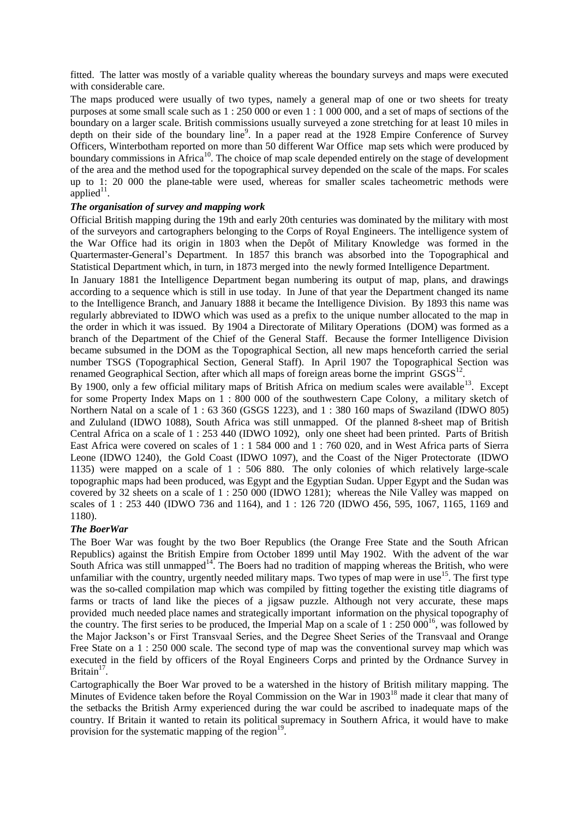fitted. The latter was mostly of a variable quality whereas the boundary surveys and maps were executed with considerable care.

The maps produced were usually of two types, namely a general map of one or two sheets for treaty purposes at some small scale such as 1 : 250 000 or even 1 : 1 000 000, and a set of maps of sections of the boundary on a larger scale. British commissions usually surveyed a zone stretching for at least 10 miles in depth on their side of the boundary line<sup>9</sup>. In a paper read at the 1928 Empire Conference of Survey Officers, Winterbotham reported on more than 50 different War Office map sets which were produced by boundary commissions in Africa<sup>10</sup>. The choice of map scale depended entirely on the stage of development of the area and the method used for the topographical survey depended on the scale of the maps. For scales up to 1: 20 000 the plane-table were used, whereas for smaller scales tacheometric methods were  $applied<sup>11</sup>$ .

## *The organisation of survey and mapping work*

Official British mapping during the 19th and early 20th centuries was dominated by the military with most of the surveyors and cartographers belonging to the Corps of Royal Engineers. The intelligence system of the War Office had its origin in 1803 when the Depôt of Military Knowledge was formed in the Quartermaster-General"s Department. In 1857 this branch was absorbed into the Topographical and Statistical Department which, in turn, in 1873 merged into the newly formed Intelligence Department.

In January 1881 the Intelligence Department began numbering its output of map, plans, and drawings according to a sequence which is still in use today. In June of that year the Department changed its name to the Intelligence Branch, and January 1888 it became the Intelligence Division. By 1893 this name was regularly abbreviated to IDWO which was used as a prefix to the unique number allocated to the map in the order in which it was issued. By 1904 a Directorate of Military Operations (DOM) was formed as a branch of the Department of the Chief of the General Staff. Because the former Intelligence Division became subsumed in the DOM as the Topographical Section, all new maps henceforth carried the serial number TSGS (Topographical Section, General Staff). In April 1907 the Topographical Section was renamed Geographical Section, after which all maps of foreign areas borne the imprint  $GSGS^{12}$ .

By 1900, only a few official military maps of British Africa on medium scales were available<sup>13</sup>. Except for some Property Index Maps on 1 : 800 000 of the southwestern Cape Colony, a military sketch of Northern Natal on a scale of 1 : 63 360 (GSGS 1223), and 1 : 380 160 maps of Swaziland (IDWO 805) and Zululand (IDWO 1088), South Africa was still unmapped. Of the planned 8-sheet map of British Central Africa on a scale of 1 : 253 440 (IDWO 1092), only one sheet had been printed. Parts of British East Africa were covered on scales of 1 : 1 584 000 and 1 : 760 020, and in West Africa parts of Sierra Leone (IDWO 1240), the Gold Coast (IDWO 1097), and the Coast of the Niger Protectorate (IDWO 1135) were mapped on a scale of 1 : 506 880. The only colonies of which relatively large-scale topographic maps had been produced, was Egypt and the Egyptian Sudan. Upper Egypt and the Sudan was covered by 32 sheets on a scale of 1 : 250 000 (IDWO 1281); whereas the Nile Valley was mapped on scales of 1 : 253 440 (IDWO 736 and 1164), and 1 : 126 720 (IDWO 456, 595, 1067, 1165, 1169 and 1180).

## *The BoerWar*

The Boer War was fought by the two Boer Republics (the Orange Free State and the South African Republics) against the British Empire from October 1899 until May 1902. With the advent of the war South Africa was still unmapped<sup>14</sup>. The Boers had no tradition of mapping whereas the British, who were unfamiliar with the country, urgently needed military maps. Two types of map were in use<sup>15</sup>. The first type was the so-called compilation map which was compiled by fitting together the existing title diagrams of farms or tracts of land like the pieces of a jigsaw puzzle. Although not very accurate, these maps provided much needed place names and strategically important information on the physical topography of the country. The first series to be produced, the Imperial Map on a scale of 1 : 250  $000^{16}$ , was followed by the Major Jackson"s or First Transvaal Series, and the Degree Sheet Series of the Transvaal and Orange Free State on a 1 : 250 000 scale. The second type of map was the conventional survey map which was executed in the field by officers of the Royal Engineers Corps and printed by the Ordnance Survey in Britain<sup>17</sup>.

Cartographically the Boer War proved to be a watershed in the history of British military mapping. The Minutes of Evidence taken before the Royal Commission on the War in 1903<sup>18</sup> made it clear that many of the setbacks the British Army experienced during the war could be ascribed to inadequate maps of the country. If Britain it wanted to retain its political supremacy in Southern Africa, it would have to make provision for the systematic mapping of the region $19$ .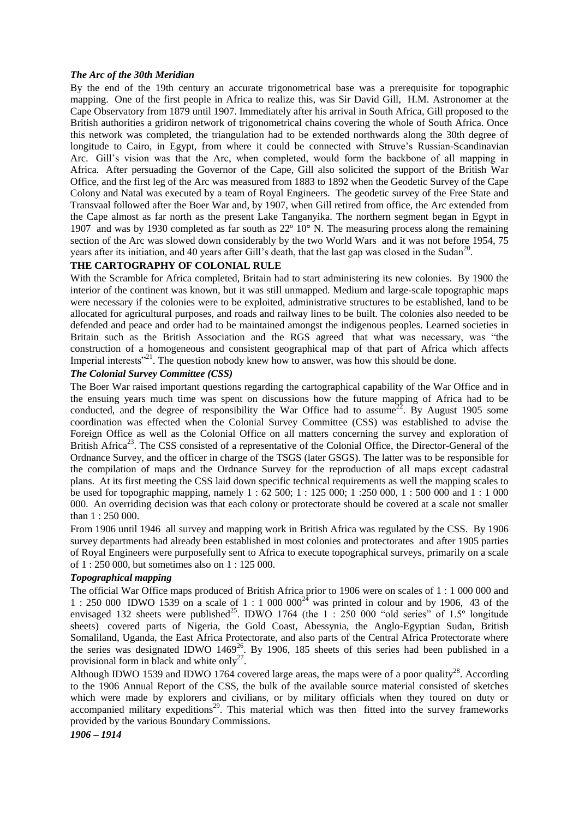#### *The Arc of the 30th Meridian*

By the end of the 19th century an accurate trigonometrical base was a prerequisite for topographic mapping. One of the first people in Africa to realize this, was Sir David Gill, H.M. Astronomer at the Cape Observatory from 1879 until 1907. Immediately after his arrival in South Africa, Gill proposed to the British authorities a gridiron network of trigonometrical chains covering the whole of South Africa. Once this network was completed, the triangulation had to be extended northwards along the 30th degree of longitude to Cairo, in Egypt, from where it could be connected with Struve's Russian-Scandinavian Arc. Gill"s vision was that the Arc, when completed, would form the backbone of all mapping in Africa. After persuading the Governor of the Cape, Gill also solicited the support of the British War Office, and the first leg of the Arc was measured from 1883 to 1892 when the Geodetic Survey of the Cape Colony and Natal was executed by a team of Royal Engineers. The geodetic survey of the Free State and Transvaal followed after the Boer War and, by 1907, when Gill retired from office, the Arc extended from the Cape almost as far north as the present Lake Tanganyika. The northern segment began in Egypt in 1907 and was by 1930 completed as far south as 22º 10° N. The measuring process along the remaining section of the Arc was slowed down considerably by the two World Wars and it was not before 1954, 75 years after its initiation, and 40 years after Gill's death, that the last gap was closed in the Sudan<sup>20</sup>.

# **THE CARTOGRAPHY OF COLONIAL RULE**

With the Scramble for Africa completed, Britain had to start administering its new colonies. By 1900 the interior of the continent was known, but it was still unmapped. Medium and large-scale topographic maps were necessary if the colonies were to be exploited, administrative structures to be established, land to be allocated for agricultural purposes, and roads and railway lines to be built. The colonies also needed to be defended and peace and order had to be maintained amongst the indigenous peoples. Learned societies in Britain such as the British Association and the RGS agreed that what was necessary, was "the construction of a homogeneous and consistent geographical map of that part of Africa which affects Imperial interests<sup>321</sup>. The question nobody knew how to answer, was how this should be done.

#### *The Colonial Survey Committee (CSS)*

The Boer War raised important questions regarding the cartographical capability of the War Office and in the ensuing years much time was spent on discussions how the future mapping of Africa had to be conducted, and the degree of responsibility the War Office had to assume<sup>22</sup>. By August 1905 some coordination was effected when the Colonial Survey Committee (CSS) was established to advise the Foreign Office as well as the Colonial Office on all matters concerning the survey and exploration of British Africa<sup>23</sup>. The CSS consisted of a representative of the Colonial Office, the Director-General of the Ordnance Survey, and the officer in charge of the TSGS (later GSGS). The latter was to be responsible for the compilation of maps and the Ordnance Survey for the reproduction of all maps except cadastral plans. At its first meeting the CSS laid down specific technical requirements as well the mapping scales to be used for topographic mapping, namely 1 : 62 500; 1 : 125 000; 1 :250 000, 1 : 500 000 and 1 : 1 000 000. An overriding decision was that each colony or protectorate should be covered at a scale not smaller than 1 : 250 000.

From 1906 until 1946 all survey and mapping work in British Africa was regulated by the CSS. By 1906 survey departments had already been established in most colonies and protectorates and after 1905 parties of Royal Engineers were purposefully sent to Africa to execute topographical surveys, primarily on a scale of 1 : 250 000, but sometimes also on 1 : 125 000.

## *Topographical mapping*

The official War Office maps produced of British Africa prior to 1906 were on scales of 1 : 1 000 000 and 1 : 250 000 IDWO 1539 on a scale of 1 : 1 000 000<sup>24</sup> was printed in colour and by 1906, 43 of the envisaged 132 sheets were published<sup>25</sup>. IDWO 1764 (the 1 : 250 000 "old series" of 1.5° longitude sheets) covered parts of Nigeria, the Gold Coast, Abessynia, the Anglo-Egyptian Sudan, British Somaliland, Uganda, the East Africa Protectorate, and also parts of the Central Africa Protectorate where the series was designated IDWO  $1469^{26}$ . By 1906, 185 sheets of this series had been published in a provisional form in black and white only<sup>27</sup>.

Although IDWO 1539 and IDWO 1764 covered large areas, the maps were of a poor quality<sup>28</sup>. According to the 1906 Annual Report of the CSS, the bulk of the available source material consisted of sketches which were made by explorers and civilians, or by military officials when they toured on duty or accompanied military expeditions<sup>29</sup>. This material which was then fitted into the survey frameworks provided by the various Boundary Commissions.

*1906 – 1914*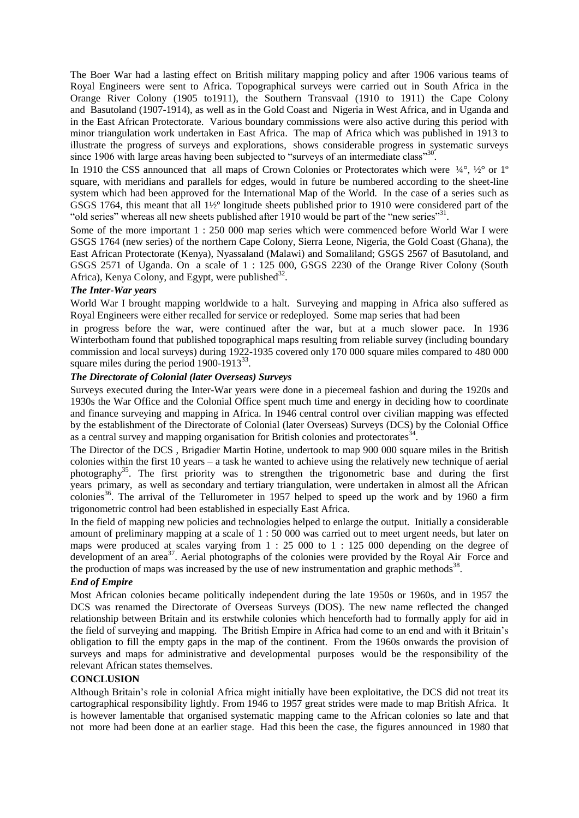The Boer War had a lasting effect on British military mapping policy and after 1906 various teams of Royal Engineers were sent to Africa. Topographical surveys were carried out in South Africa in the Orange River Colony (1905 to1911), the Southern Transvaal (1910 to 1911) the Cape Colony and Basutoland (1907-1914), as well as in the Gold Coast and Nigeria in West Africa, and in Uganda and in the East African Protectorate. Various boundary commissions were also active during this period with minor triangulation work undertaken in East Africa. The map of Africa which was published in 1913 to illustrate the progress of surveys and explorations, shows considerable progress in systematic surveys since 1906 with large areas having been subjected to "surveys of an intermediate class"<sup>30</sup>.

In 1910 the CSS announced that all maps of Crown Colonies or Protectorates which were  $\frac{1}{4}$ °,  $\frac{1}{2}$ ° or 1<sup>o</sup> square, with meridians and parallels for edges, would in future be numbered according to the sheet-line system which had been approved for the International Map of the World. In the case of a series such as GSGS 1764, this meant that all 1½º longitude sheets published prior to 1910 were considered part of the "old series" whereas all new sheets published after 1910 would be part of the "new series"<sup>31</sup>.

Some of the more important 1 : 250 000 map series which were commenced before World War I were GSGS 1764 (new series) of the northern Cape Colony, Sierra Leone, Nigeria, the Gold Coast (Ghana), the East African Protectorate (Kenya), Nyassaland (Malawi) and Somaliland; GSGS 2567 of Basutoland, and GSGS 2571 of Uganda. On a scale of 1 : 125 000, GSGS 2230 of the Orange River Colony (South Africa), Kenya Colony, and Egypt, were published $32$ .

#### *The Inter-War years*

World War I brought mapping worldwide to a halt. Surveying and mapping in Africa also suffered as Royal Engineers were either recalled for service or redeployed. Some map series that had been

in progress before the war, were continued after the war, but at a much slower pace. In 1936 Winterbotham found that published topographical maps resulting from reliable survey (including boundary commission and local surveys) during 1922-1935 covered only 170 000 square miles compared to 480 000 square miles during the period  $1900-1913^{33}$ .

## *The Directorate of Colonial (later Overseas) Surveys*

Surveys executed during the Inter-War years were done in a piecemeal fashion and during the 1920s and 1930s the War Office and the Colonial Office spent much time and energy in deciding how to coordinate and finance surveying and mapping in Africa. In 1946 central control over civilian mapping was effected by the establishment of the Directorate of Colonial (later Overseas) Surveys (DCS) by the Colonial Office as a central survey and mapping organisation for British colonies and protectorates $34$ .

The Director of the DCS , Brigadier Martin Hotine, undertook to map 900 000 square miles in the British colonies within the first 10 years – a task he wanted to achieve using the relatively new technique of aerial photography<sup>35</sup>. The first priority was to strengthen the trigonometric base and during the first years primary, as well as secondary and tertiary triangulation, were undertaken in almost all the African colonies<sup>36</sup>. The arrival of the Tellurometer in 1957 helped to speed up the work and by 1960 a firm trigonometric control had been established in especially East Africa.

In the field of mapping new policies and technologies helped to enlarge the output. Initially a considerable amount of preliminary mapping at a scale of 1 : 50 000 was carried out to meet urgent needs, but later on maps were produced at scales varying from 1 : 25 000 to 1 : 125 000 depending on the degree of development of an area<sup>37</sup>. Aerial photographs of the colonies were provided by the Royal Air Force and the production of maps was increased by the use of new instrumentation and graphic methods<sup>38</sup>.

#### *End of Empire*

Most African colonies became politically independent during the late 1950s or 1960s, and in 1957 the DCS was renamed the Directorate of Overseas Surveys (DOS). The new name reflected the changed relationship between Britain and its erstwhile colonies which henceforth had to formally apply for aid in the field of surveying and mapping. The British Empire in Africa had come to an end and with it Britain"s obligation to fill the empty gaps in the map of the continent. From the 1960s onwards the provision of surveys and maps for administrative and developmental purposes would be the responsibility of the relevant African states themselves.

#### **CONCLUSION**

Although Britain"s role in colonial Africa might initially have been exploitative, the DCS did not treat its cartographical responsibility lightly. From 1946 to 1957 great strides were made to map British Africa. It is however lamentable that organised systematic mapping came to the African colonies so late and that not more had been done at an earlier stage. Had this been the case, the figures announced in 1980 that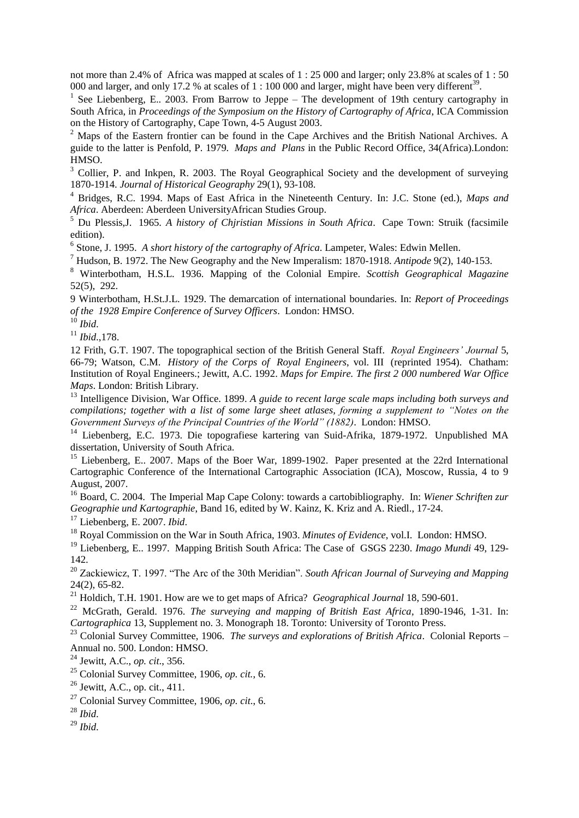not more than 2.4% of Africa was mapped at scales of 1 : 25 000 and larger; only 23.8% at scales of 1 : 50 000 and larger, and only 17.2 % at scales of 1 : 100 000 and larger, might have been very different<sup>39</sup>.

<sup>1</sup> See Liebenberg, E.. 2003. From Barrow to Jeppe – The development of 19th century cartography in South Africa, in *Proceedings of the Symposium on the History of Cartography of Africa*, ICA Commission on the History of Cartography, Cape Town, 4-5 August 2003.

<sup>2</sup> Maps of the Eastern frontier can be found in the Cape Archives and the British National Archives. A guide to the latter is Penfold, P. 1979. *Maps and Plans* in the Public Record Office, 34(Africa).London: HMSO.

<sup>3</sup> Collier, P. and Inkpen, R. 2003. The Royal Geographical Society and the development of surveying 1870-1914. *Journal of Historical Geography* 29(1), 93-108.

<sup>4</sup> Bridges, R.C. 1994. Maps of East Africa in the Nineteenth Century. In: J.C. Stone (ed.), *Maps and Africa*. Aberdeen: Aberdeen UniversityAfrican Studies Group.

<sup>5</sup> Du Plessis,J. 1965. *A history of Chjristian Missions in South Africa*. Cape Town: Struik (facsimile edition).

6 Stone, J. 1995. *A short history of the cartography of Africa*. Lampeter, Wales: Edwin Mellen.

<sup>7</sup> Hudson, B. 1972. The New Geography and the New Imperalism: 1870-1918. *Antipode* 9(2), 140-153.

<sup>8</sup> Winterbotham, H.S.L. 1936. Mapping of the Colonial Empire. *Scottish Geographical Magazine* 52(5), 292.

9 Winterbotham, H.St.J.L. 1929. The demarcation of international boundaries. In: *Report of Proceedings of the 1928 Empire Conference of Survey Officers*. London: HMSO.

 $10$  *Ibid.* 

 $11$  *Ibid*. 178.

12 Frith, G.T. 1907. The topographical section of the British General Staff. *Royal Engineers' Journal* 5, 66-79; Watson, C.M. *History of the Corps of Royal Engineers*, vol. III (reprinted 1954). Chatham: Institution of Royal Engineers.; Jewitt, A.C. 1992. *Maps for Empire. The first 2 000 numbered War Office Maps*. London: British Library.

<sup>13</sup> Intelligence Division, War Office. 1899. *A guide to recent large scale maps including both surveys and compilations; together with a list of some large sheet atlases, forming a supplement to "Notes on the Government Surveys of the Principal Countries of the World" (1882)*. London: HMSO.

<sup>14</sup> Liebenberg, E.C. 1973. Die topografiese kartering van Suid-Afrika, 1879-1972. Unpublished MA dissertation, University of South Africa.

<sup>15</sup> Liebenberg, E.. 2007. Maps of the Boer War, 1899-1902. Paper presented at the 22rd International Cartographic Conference of the International Cartographic Association (ICA), Moscow, Russia, 4 to 9 August, 2007.

<sup>16</sup> Board, C. 2004. The Imperial Map Cape Colony: towards a cartobibliography. In: *Wiener Schriften zur Geographie und Kartographie*, Band 16, edited by W. Kainz, K. Kriz and A. Riedl., 17-24.

<sup>17</sup> Liebenberg, E. 2007. *Ibid*.

<sup>18</sup> Royal Commission on the War in South Africa, 1903. *Minutes of Evidence*, vol.I. London: HMSO.

<sup>19</sup> Liebenberg, E.. 1997. Mapping British South Africa: The Case of GSGS 2230. *Imago Mundi* 49, 129- 142.

<sup>20</sup> Zackiewicz, T. 1997. "The Arc of the 30th Meridian". *South African Journal of Surveying and Mapping* 24(2), 65-82.

<sup>21</sup> Holdich, T.H. 1901. How are we to get maps of Africa? *Geographical Journal* 18, 590-601.

<sup>22</sup> McGrath, Gerald. 1976. *The surveying and mapping of British East Africa*, 1890-1946, 1-31. In: *Cartographica* 13, Supplement no. 3. Monograph 18. Toronto: University of Toronto Press.

<sup>23</sup> Colonial Survey Committee, 1906. *The surveys and explorations of British Africa*. Colonial Reports – Annual no. 500. London: HMSO.

<sup>24</sup> Jewitt, A.C., *op. cit*., 356.

<sup>25</sup> Colonial Survey Committee, 1906, *op. cit.*, 6.

<sup>27</sup> Colonial Survey Committee, 1906, *op. cit*., 6.

<sup>28</sup> *Ibid*.

<sup>29</sup> *Ibid*.

 $26$  Jewitt, A.C., op. cit., 411.